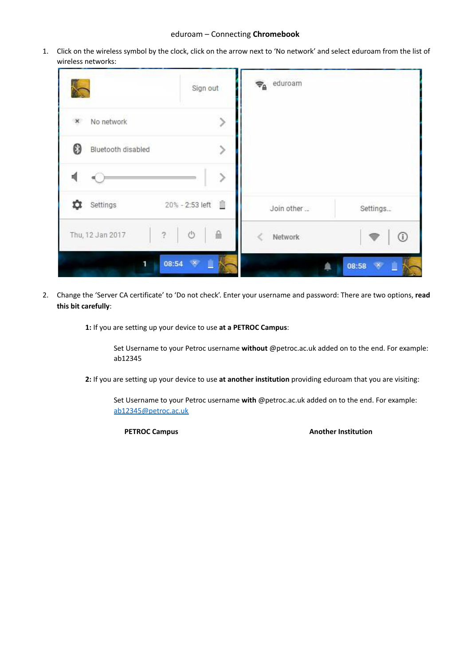## eduroam – Connecting **Chromebook**

1. Click on the wireless symbol by the clock, click on the arrow next to 'No network' and select eduroam from the list of wireless networks:

| Sign out                                     | $\Rightarrow$ eduroam  |
|----------------------------------------------|------------------------|
| No network<br>$\mathsf{x}$                   |                        |
| 0<br>Bluetooth disabled<br>5                 |                        |
|                                              |                        |
| 20% - 2:53 left<br>Settings                  | Join other<br>Settings |
| A<br>Ü<br>$\ddot{\cdot}$<br>Thu, 12 Jan 2017 | $^{\circ}$<br>Network  |
| 08:54 ×<br>ī                                 | 08:58                  |

2. Change the 'Server CA certificate' to 'Do not check'. Enter your username and password: There are two options, **read this bit carefully**:

**1:** If you are setting up your device to use **at a PETROC Campus**:

Set Username to your Petroc username **without** @petroc.ac.uk added on to the end. For example: ab12345

**2:** If you are setting up your device to use **at another institution** providing eduroam that you are visiting:

Set Username to your Petroc username **with** @petroc.ac.uk added on to the end. For example: [ab12345@petroc.ac.uk](mailto:ab12345@petroc.ac.uk)

**PETROC Campus Another Institution**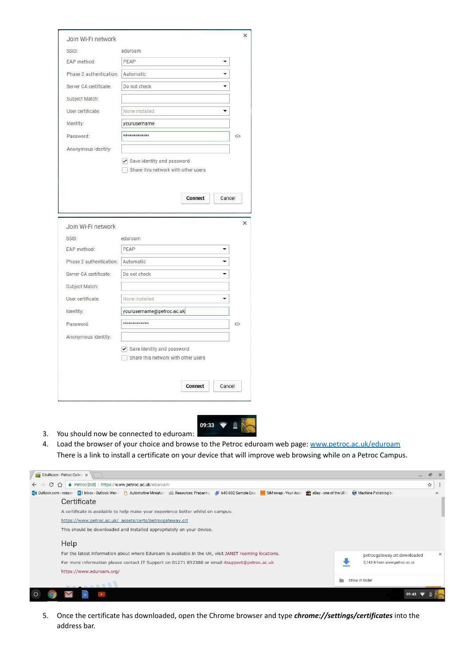|                                                                                                                                                                                                   | eduroam                                                           |            |
|---------------------------------------------------------------------------------------------------------------------------------------------------------------------------------------------------|-------------------------------------------------------------------|------------|
| SSID:                                                                                                                                                                                             |                                                                   |            |
| EAP method:                                                                                                                                                                                       | PEAP                                                              |            |
| Phase 2 authentication:                                                                                                                                                                           | Automatic<br>▼                                                    |            |
| Server CA certificate:                                                                                                                                                                            | Do not check                                                      |            |
| Subject Match:                                                                                                                                                                                    |                                                                   |            |
| User certificate:                                                                                                                                                                                 | None installed<br>▼                                               |            |
| Identity:                                                                                                                                                                                         | yourusername                                                      |            |
| Password:                                                                                                                                                                                         | *************                                                     | $^{\circ}$ |
| Anonymous identity:                                                                                                                                                                               |                                                                   |            |
|                                                                                                                                                                                                   | Share this network with other users<br>Connect<br>Cancel          |            |
|                                                                                                                                                                                                   |                                                                   |            |
|                                                                                                                                                                                                   | eduroam                                                           |            |
|                                                                                                                                                                                                   | PEAP                                                              |            |
|                                                                                                                                                                                                   |                                                                   |            |
|                                                                                                                                                                                                   | Do not check                                                      |            |
|                                                                                                                                                                                                   |                                                                   |            |
|                                                                                                                                                                                                   | None installed<br>۰                                               |            |
|                                                                                                                                                                                                   | yourusername@petroc.ac.uk                                         |            |
|                                                                                                                                                                                                   | *************                                                     | ⊙          |
| Join Wi-Fi network<br>SSID:<br>EAP method:<br>Phase 2 authentication: Automatic<br>Server CA certificate:<br>Subject Match:<br>User certificate:<br>Identity:<br>Password:<br>Anonymous identity: |                                                                   |            |
|                                                                                                                                                                                                   | Save identity and password<br>Share this network with other users |            |



- 3. You should now be connected to eduroam:
- 4. Load the browser of your choice and browse to the Petroc eduroam web page: [www.petroc.ac.uk/eduroam](http://www.petroc.ac.uk/eduroam) There is a link to install a certificate on your device that will improve web browsing while on a Petroc Campus.



5. Once the certificate has downloaded, open the Chrome browser and type *chrome://settings/certificates* into the address bar.